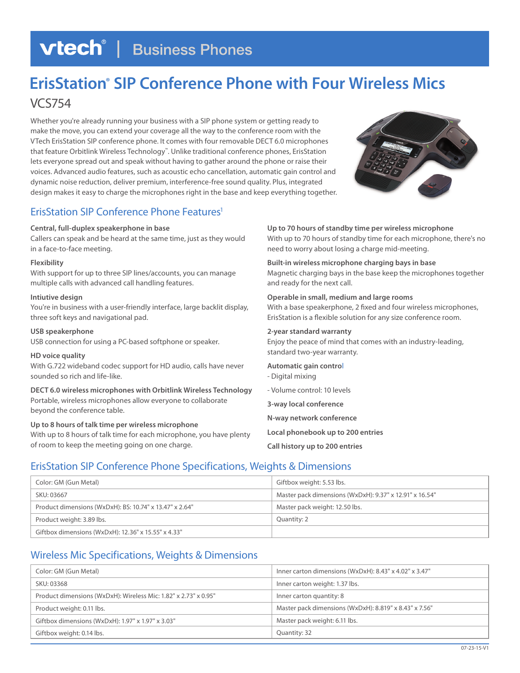# **vtech**<sup>®</sup> | Business Phones

# **ErisStation® SIP Conference Phone with Four Wireless Mics** VCS754

Whether you're already running your business with a SIP phone system or getting ready to make the move, you can extend your coverage all the way to the conference room with the VTech ErisStation SIP conference phone. It comes with four removable DECT 6.0 microphones that feature Orbitlink Wireless Technology™. Unlike traditional conference phones, ErisStation lets everyone spread out and speak without having to gather around the phone or raise their voices. Advanced audio features, such as acoustic echo cancellation, automatic gain control and dynamic noise reduction, deliver premium, interference-free sound quality. Plus, integrated design makes it easy to charge the microphones right in the base and keep everything together.



### **ErisStation SIP Conference Phone Features**<sup>1</sup>

#### **Central, full-duplex speakerphone in base**

Callers can speak and be heard at the same time, just as they would in a face-to-face meeting.

#### **Flexibility**

With support for up to three SIP lines/accounts, you can manage multiple calls with advanced call handling features.

#### **Intiutive design**

You're in business with a user-friendly interface, large backlit display, three soft keys and navigational pad.

#### **USB speakerphone**

USB connection for using a PC-based softphone or speaker.

#### **HD voice quality**

With G.722 wideband codec support for HD audio, calls have never sounded so rich and life-like.

**DECT 6.0 wireless microphones with Orbitlink Wireless Technology** Portable, wireless microphones allow everyone to collaborate beyond the conference table.

#### **Up to 8 hours of talk time per wireless microphone**

With up to 8 hours of talk time for each microphone, you have plenty of room to keep the meeting going on one charge.

**Up to 70 hours of standby time per wireless microphone** With up to 70 hours of standby time for each microphone, there's no need to worry about losing a charge mid-meeting.

**Built-in wireless microphone charging bays in base** Magnetic charging bays in the base keep the microphones together and ready for the next call.

#### **Operable in small, medium and large rooms**

With a base speakerphone, 2 fixed and four wireless microphones, ErisStation is a flexible solution for any size conference room.

#### **2-year standard warranty**

Enjoy the peace of mind that comes with an industry-leading, standard two-year warranty.

- **Automatic gain contro**l
- Digital mixing
- Volume control: 10 levels

**3-way local conference**

**N-way network conference**

**Local phonebook up to 200 entries**

**Call history up to 200 entries**

## ErisStation SIP Conference Phone Specifications, Weights & Dimensions

| Color: GM (Gun Metal)                                   | Giftbox weight: 5.53 lbs.                               |
|---------------------------------------------------------|---------------------------------------------------------|
| SKU: 03667                                              | Master pack dimensions (WxDxH): 9.37" x 12.91" x 16.54" |
| Product dimensions (WxDxH): BS: 10.74" x 13.47" x 2.64" | Master pack weight: 12.50 lbs.                          |
| Product weight: 3.89 lbs.                               | Quantity: 2                                             |
| Giftbox dimensions (WxDxH): 12.36" x 15.55" x 4.33"     |                                                         |

### Wireless Mic Specifications, Weights & Dimensions

| Color: GM (Gun Metal)                                           | Inner carton dimensions (WxDxH): 8.43" x 4.02" x 3.47" |
|-----------------------------------------------------------------|--------------------------------------------------------|
| SKU: 03368                                                      | Inner carton weight: 1.37 lbs.                         |
| Product dimensions (WxDxH): Wireless Mic: 1.82" x 2.73" x 0.95" | Inner carton quantity: 8                               |
| Product weight: 0.11 lbs.                                       | Master pack dimensions (WxDxH): 8.819" x 8.43" x 7.56" |
| Giftbox dimensions (WxDxH): 1.97" x 1.97" x 3.03"               | Master pack weight: 6.11 lbs.                          |
| Giftbox weight: 0.14 lbs.                                       | Quantity: 32                                           |